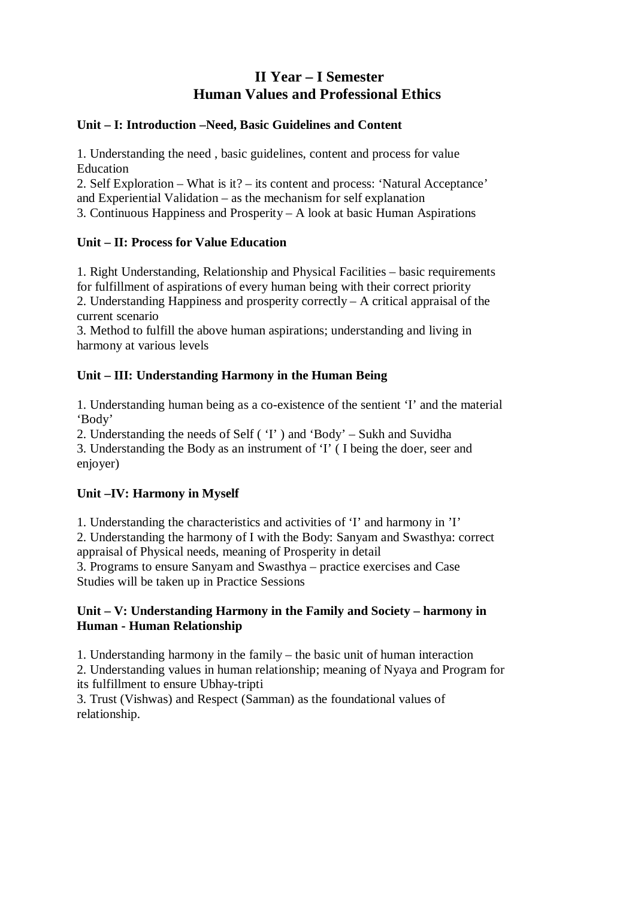# **II Year – I Semester Human Values and Professional Ethics**

### **Unit – I: Introduction –Need, Basic Guidelines and Content**

1. Understanding the need , basic guidelines, content and process for value Education

2. Self Exploration – What is it? – its content and process: 'Natural Acceptance' and Experiential Validation – as the mechanism for self explanation

3. Continuous Happiness and Prosperity – A look at basic Human Aspirations

## **Unit – II: Process for Value Education**

1. Right Understanding, Relationship and Physical Facilities – basic requirements for fulfillment of aspirations of every human being with their correct priority 2. Understanding Happiness and prosperity correctly – A critical appraisal of the current scenario

3. Method to fulfill the above human aspirations; understanding and living in harmony at various levels

## **Unit – III: Understanding Harmony in the Human Being**

1. Understanding human being as a co-existence of the sentient 'I' and the material 'Body'

2. Understanding the needs of Self ( 'I' ) and 'Body' – Sukh and Suvidha 3. Understanding the Body as an instrument of 'I' ( I being the doer, seer and enjoyer)

## **Unit –IV: Harmony in Myself**

1. Understanding the characteristics and activities of 'I' and harmony in 'I'

2. Understanding the harmony of I with the Body: Sanyam and Swasthya: correct appraisal of Physical needs, meaning of Prosperity in detail

3. Programs to ensure Sanyam and Swasthya – practice exercises and Case Studies will be taken up in Practice Sessions

## **Unit – V: Understanding Harmony in the Family and Society – harmony in Human - Human Relationship**

1. Understanding harmony in the family – the basic unit of human interaction

2. Understanding values in human relationship; meaning of Nyaya and Program for its fulfillment to ensure Ubhay-tripti

3. Trust (Vishwas) and Respect (Samman) as the foundational values of relationship.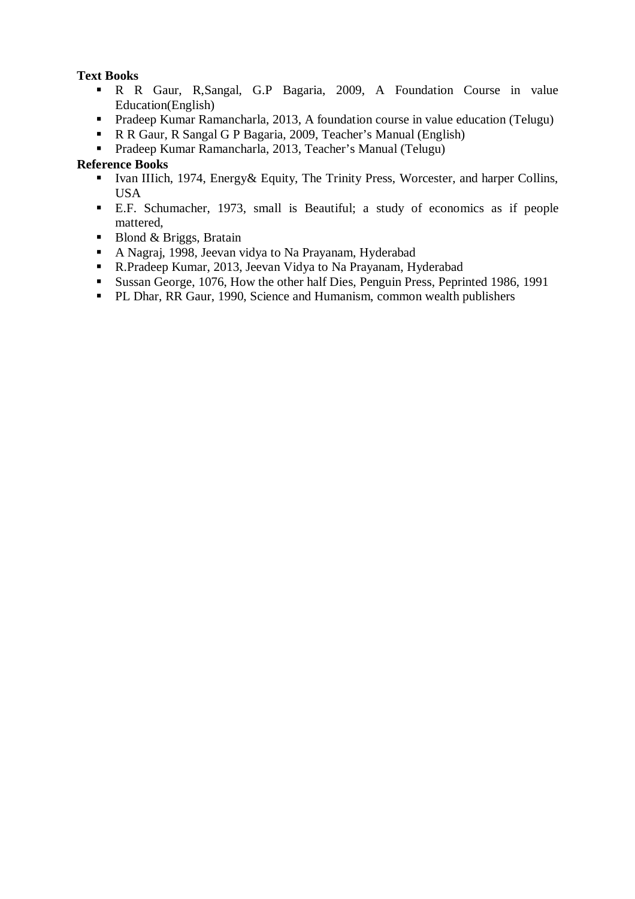## **Text Books**

- R R Gaur, R,Sangal, G.P Bagaria, 2009, A Foundation Course in value Education(English)
- Pradeep Kumar Ramancharla, 2013, A foundation course in value education (Telugu)
- R R Gaur, R Sangal G P Bagaria, 2009, Teacher's Manual (English)
- Pradeep Kumar Ramancharla, 2013, Teacher's Manual (Telugu)

- Ivan IIIich, 1974, Energy & Equity, The Trinity Press, Worcester, and harper Collins, USA
- E.F. Schumacher, 1973, small is Beautiful; a study of economics as if people mattered,
- Blond & Briggs, Bratain<br>A Nagrai. 1998, Jeevan v
- A Nagraj, 1998, Jeevan vidya to Na Prayanam, Hyderabad
- R.Pradeep Kumar, 2013, Jeevan Vidya to Na Prayanam, Hyderabad
- Sussan George, 1076, How the other half Dies, Penguin Press, Peprinted 1986, 1991
- **PL Dhar, RR Gaur, 1990, Science and Humanism, common wealth publishers**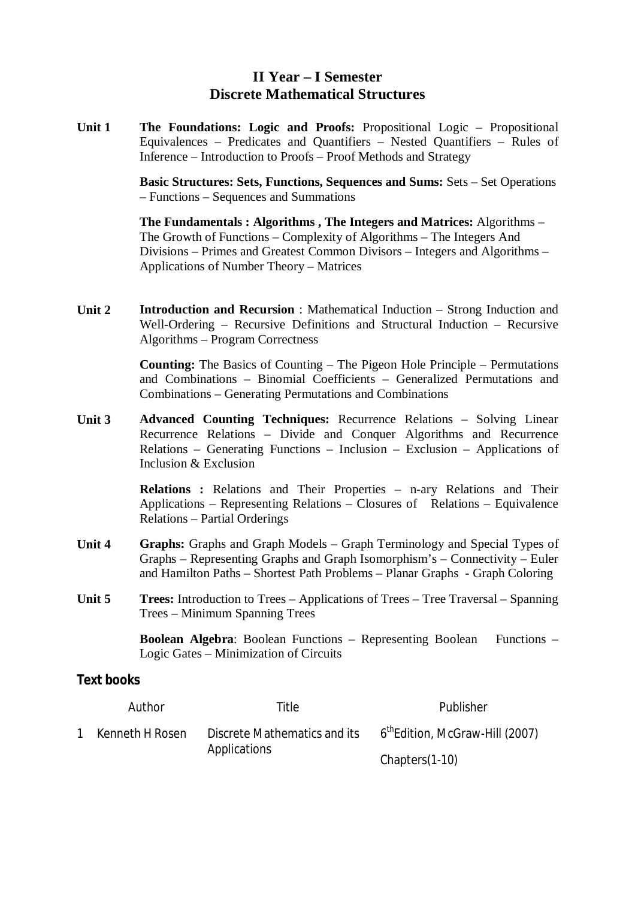## **II Year – I Semester Discrete Mathematical Structures**

**Unit 1 The Foundations: Logic and Proofs:** Propositional Logic – Propositional Equivalences – Predicates and Quantifiers – Nested Quantifiers – Rules of Inference – Introduction to Proofs – Proof Methods and Strategy

> **Basic Structures: Sets, Functions, Sequences and Sums:** Sets – Set Operations – Functions – Sequences and Summations

**The Fundamentals : Algorithms , The Integers and Matrices:** Algorithms – The Growth of Functions – Complexity of Algorithms – The Integers And Divisions – Primes and Greatest Common Divisors – Integers and Algorithms – Applications of Number Theory – Matrices

**Unit 2 Introduction and Recursion** : Mathematical Induction – Strong Induction and Well-Ordering – Recursive Definitions and Structural Induction – Recursive Algorithms – Program Correctness

> **Counting:** The Basics of Counting – The Pigeon Hole Principle – Permutations and Combinations – Binomial Coefficients – Generalized Permutations and Combinations – Generating Permutations and Combinations

**Unit 3 Advanced Counting Techniques:** Recurrence Relations – Solving Linear Recurrence Relations – Divide and Conquer Algorithms and Recurrence Relations – Generating Functions – Inclusion – Exclusion – Applications of Inclusion & Exclusion

> **Relations :** Relations and Their Properties – n-ary Relations and Their Applications – Representing Relations – Closures of Relations – Equivalence Relations – Partial Orderings

- **Unit 4 Graphs:** Graphs and Graph Models Graph Terminology and Special Types of Graphs – Representing Graphs and Graph Isomorphism's – Connectivity – Euler and Hamilton Paths – Shortest Path Problems – Planar Graphs - Graph Coloring
- **Unit 5 Trees:** Introduction to Trees Applications of Trees Tree Traversal Spanning Trees – Minimum Spanning Trees

**Boolean Algebra**: Boolean Functions – Representing Boolean Functions – Logic Gates – Minimization of Circuits

## **Text books**

|              | Author          | Title                        | Publisher                                   |
|--------------|-----------------|------------------------------|---------------------------------------------|
| $\mathbf{1}$ | Kenneth H Rosen | Discrete Mathematics and its | 6 <sup>th</sup> Edition, McGraw-Hill (2007) |
|              |                 | Applications                 | Chapters(1-10)                              |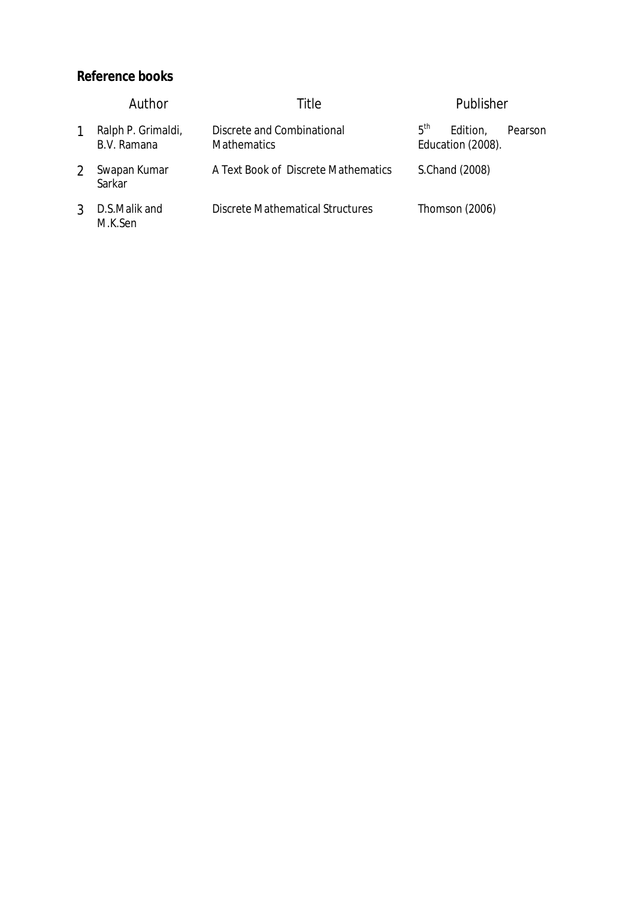|   | Author                            | Title                                            | Publisher                                                   |
|---|-----------------------------------|--------------------------------------------------|-------------------------------------------------------------|
|   | Ralph P. Grimaldi,<br>B.V. Ramana | Discrete and Combinational<br><b>Mathematics</b> | 5 <sup>th</sup><br>Edition,<br>Pearson<br>Education (2008). |
|   | Swapan Kumar<br>Sarkar            | A Text Book of Discrete Mathematics              | S.Chand (2008)                                              |
| 3 | D.S.Malik and<br>M.K.Sen          | Discrete Mathematical Structures                 | Thomson (2006)                                              |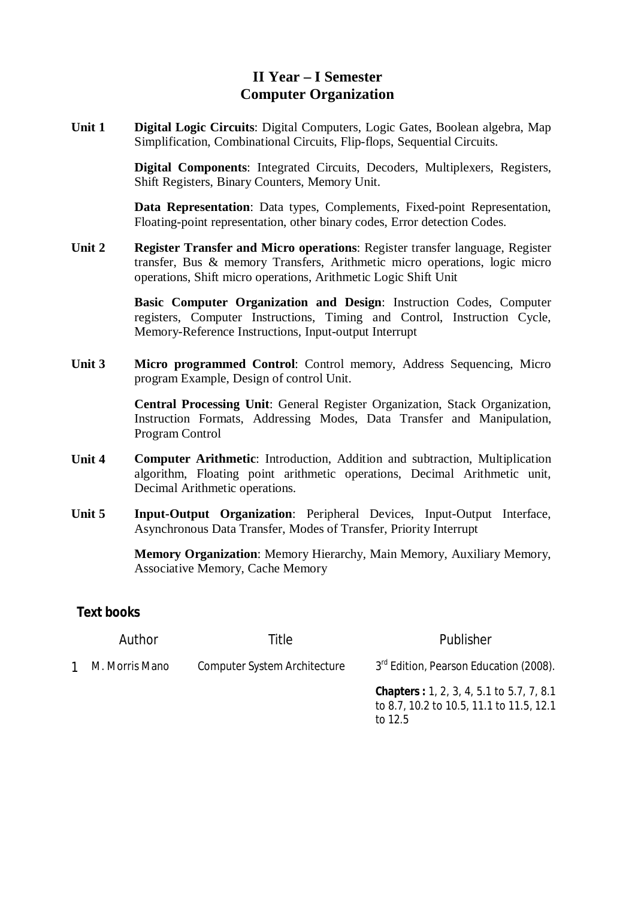# **II Year – I Semester Computer Organization**

**Unit 1 Digital Logic Circuits**: Digital Computers, Logic Gates, Boolean algebra, Map Simplification, Combinational Circuits, Flip-flops, Sequential Circuits.

> **Digital Components**: Integrated Circuits, Decoders, Multiplexers, Registers, Shift Registers, Binary Counters, Memory Unit.

> **Data Representation**: Data types, Complements, Fixed-point Representation, Floating-point representation, other binary codes, Error detection Codes.

**Unit 2 Register Transfer and Micro operations**: Register transfer language, Register transfer, Bus & memory Transfers, Arithmetic micro operations, logic micro operations, Shift micro operations, Arithmetic Logic Shift Unit

> **Basic Computer Organization and Design**: Instruction Codes, Computer registers, Computer Instructions, Timing and Control, Instruction Cycle, Memory-Reference Instructions, Input-output Interrupt

**Unit 3 Micro programmed Control**: Control memory, Address Sequencing, Micro program Example, Design of control Unit.

> **Central Processing Unit**: General Register Organization, Stack Organization, Instruction Formats, Addressing Modes, Data Transfer and Manipulation, Program Control

- **Unit 4 Computer Arithmetic**: Introduction, Addition and subtraction, Multiplication algorithm, Floating point arithmetic operations, Decimal Arithmetic unit, Decimal Arithmetic operations.
- **Unit 5 Input-Output Organization**: Peripheral Devices, Input-Output Interface, Asynchronous Data Transfer, Modes of Transfer, Priority Interrupt

**Memory Organization**: Memory Hierarchy, Main Memory, Auxiliary Memory, Associative Memory, Cache Memory

## **Text books**

|              | Author         | Title                        | Publisher                                                                                                 |
|--------------|----------------|------------------------------|-----------------------------------------------------------------------------------------------------------|
| $\mathbf{1}$ | M. Morris Mano | Computer System Architecture | 3rd Edition, Pearson Education (2008).                                                                    |
|              |                |                              | <b>Chapters : 1, 2, 3, 4, 5.1 to 5.7, 7, 8.1</b><br>to 8.7, 10.2 to 10.5, 11.1 to 11.5, 12.1<br>to $12.5$ |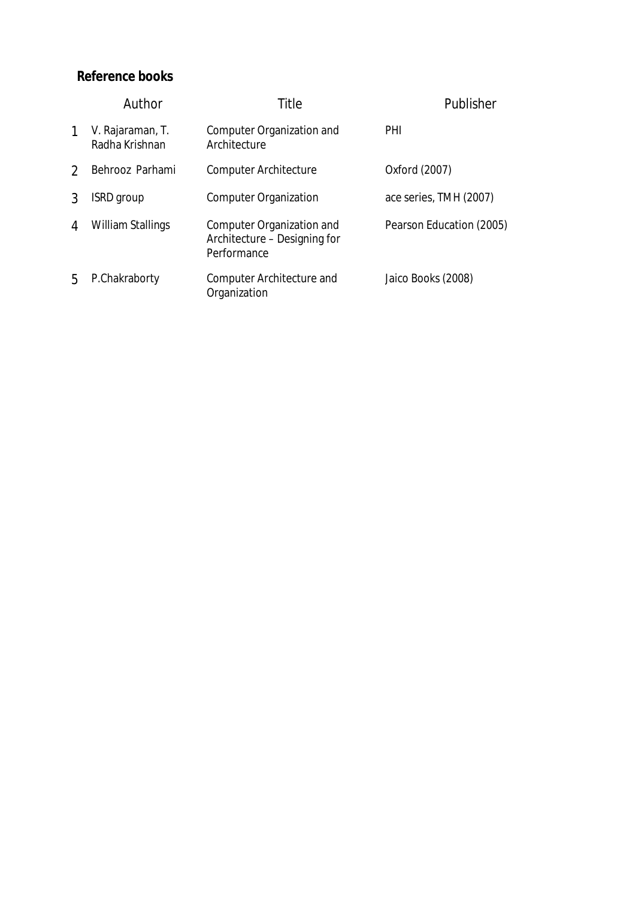|               | Author                             | Title                                                                    | Publisher                |
|---------------|------------------------------------|--------------------------------------------------------------------------|--------------------------|
| 1             | V. Rajaraman, T.<br>Radha Krishnan | Computer Organization and<br>Architecture                                | PHI                      |
| $\mathcal{D}$ | Behrooz Parhami                    | <b>Computer Architecture</b>                                             | Oxford (2007)            |
| 3             | <b>ISRD</b> group                  | <b>Computer Organization</b>                                             | ace series, TMH (2007)   |
| 4             | William Stallings                  | Computer Organization and<br>Architecture - Designing for<br>Performance | Pearson Education (2005) |
| 5             | P.Chakraborty                      | Computer Architecture and<br>Organization                                | Jaico Books (2008)       |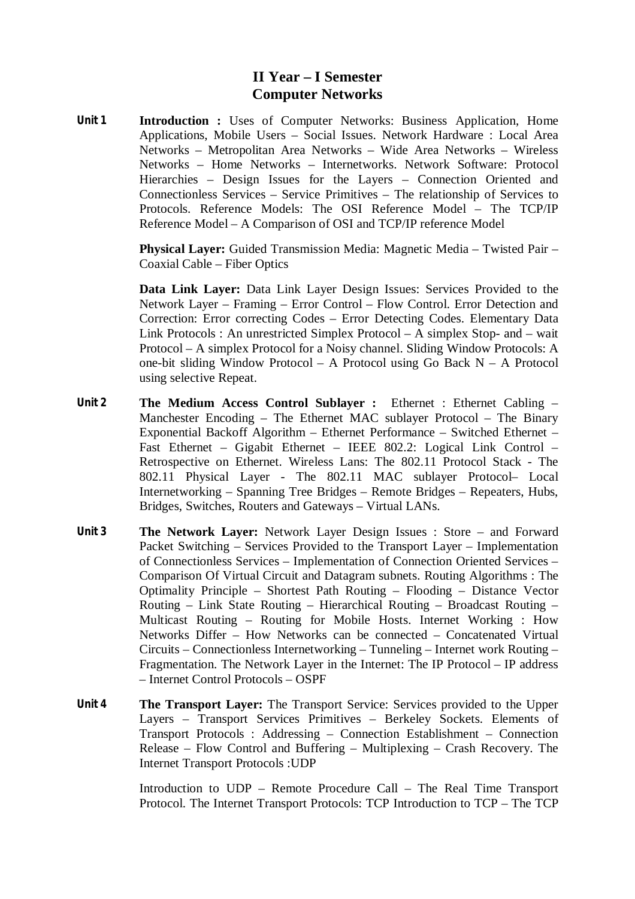# **II Year – I Semester Computer Networks**

**Unit 1 Introduction :** Uses of Computer Networks: Business Application, Home Applications, Mobile Users – Social Issues. Network Hardware : Local Area Networks – Metropolitan Area Networks – Wide Area Networks – Wireless Networks – Home Networks – Internetworks. Network Software: Protocol Hierarchies – Design Issues for the Layers – Connection Oriented and Connectionless Services – Service Primitives – The relationship of Services to Protocols. Reference Models: The OSI Reference Model – The TCP/IP Reference Model – A Comparison of OSI and TCP/IP reference Model

> **Physical Layer:** Guided Transmission Media: Magnetic Media – Twisted Pair – Coaxial Cable – Fiber Optics

> **Data Link Layer:** Data Link Layer Design Issues: Services Provided to the Network Layer – Framing – Error Control – Flow Control. Error Detection and Correction: Error correcting Codes – Error Detecting Codes. Elementary Data Link Protocols : An unrestricted Simplex Protocol – A simplex Stop- and – wait Protocol – A simplex Protocol for a Noisy channel. Sliding Window Protocols: A one-bit sliding Window Protocol – A Protocol using Go Back N – A Protocol using selective Repeat.

- **Unit 2 The Medium Access Control Sublayer :** Ethernet : Ethernet Cabling Manchester Encoding – The Ethernet MAC sublayer Protocol – The Binary Exponential Backoff Algorithm – Ethernet Performance – Switched Ethernet – Fast Ethernet – Gigabit Ethernet – IEEE 802.2: Logical Link Control – Retrospective on Ethernet. Wireless Lans: The 802.11 Protocol Stack - The 802.11 Physical Layer - The 802.11 MAC sublayer Protocol– Local Internetworking – Spanning Tree Bridges – Remote Bridges – Repeaters, Hubs, Bridges, Switches, Routers and Gateways – Virtual LANs.
- **Unit 3 The Network Layer:** Network Layer Design Issues : Store and Forward Packet Switching – Services Provided to the Transport Layer – Implementation of Connectionless Services – Implementation of Connection Oriented Services – Comparison Of Virtual Circuit and Datagram subnets. Routing Algorithms : The Optimality Principle – Shortest Path Routing – Flooding – Distance Vector Routing – Link State Routing – Hierarchical Routing – Broadcast Routing – Multicast Routing – Routing for Mobile Hosts. Internet Working : How Networks Differ – How Networks can be connected – Concatenated Virtual Circuits – Connectionless Internetworking – Tunneling – Internet work Routing – Fragmentation. The Network Layer in the Internet: The IP Protocol – IP address – Internet Control Protocols – OSPF
- **Unit 4 The Transport Layer:** The Transport Service: Services provided to the Upper Layers – Transport Services Primitives – Berkeley Sockets. Elements of Transport Protocols : Addressing – Connection Establishment – Connection Release – Flow Control and Buffering – Multiplexing – Crash Recovery. The Internet Transport Protocols :UDP

Introduction to UDP – Remote Procedure Call – The Real Time Transport Protocol. The Internet Transport Protocols: TCP Introduction to TCP – The TCP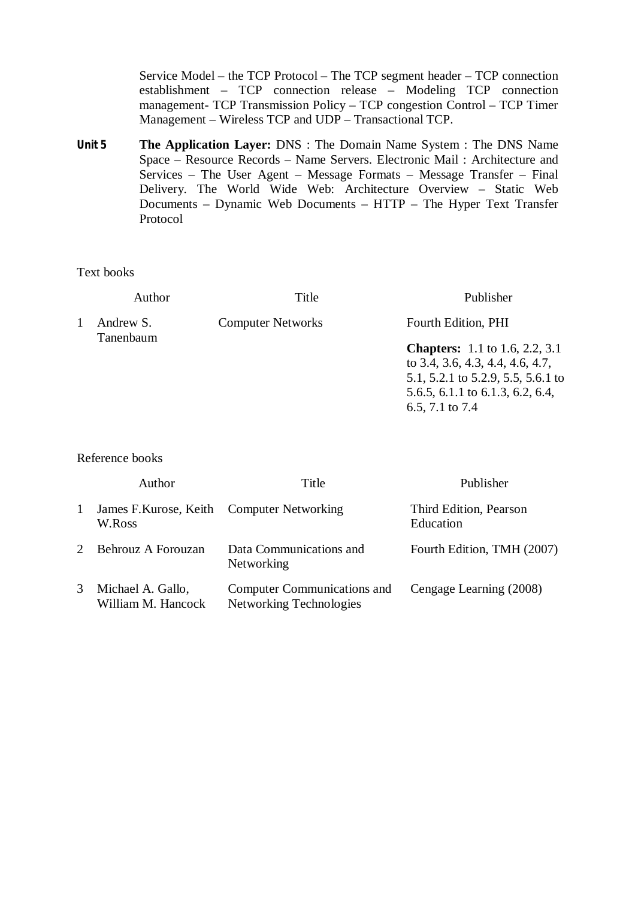Service Model – the TCP Protocol – The TCP segment header – TCP connection establishment – TCP connection release – Modeling TCP connection management- TCP Transmission Policy – TCP congestion Control – TCP Timer Management – Wireless TCP and UDP – Transactional TCP.

**Unit 5 The Application Layer:** DNS : The Domain Name System : The DNS Name Space – Resource Records – Name Servers. Electronic Mail : Architecture and Services – The User Agent – Message Formats – Message Transfer – Final Delivery. The World Wide Web: Architecture Overview – Static Web Documents – Dynamic Web Documents – HTTP – The Hyper Text Transfer Protocol

Text books

| Author                 | Title                    | Publisher                                                                                                                                                              |
|------------------------|--------------------------|------------------------------------------------------------------------------------------------------------------------------------------------------------------------|
| Andrew S.<br>Tanenbaum | <b>Computer Networks</b> | Fourth Edition, PHI                                                                                                                                                    |
|                        |                          | <b>Chapters:</b> 1.1 to 1.6, 2.2, 3.1<br>to 3.4, 3.6, 4.3, 4.4, 4.6, 4.7,<br>5.1, 5.2.1 to 5.2.9, 5.5, 5.6.1 to<br>5.6.5, 6.1.1 to 6.1.3, 6.2, 6.4,<br>6.5, 7.1 to 7.4 |

|              | Author                                               | Title                                                  | Publisher                           |
|--------------|------------------------------------------------------|--------------------------------------------------------|-------------------------------------|
| $\mathbf{1}$ | James F. Kurose, Keith Computer Networking<br>W.Ross |                                                        | Third Edition, Pearson<br>Education |
|              | Behrouz A Forouzan                                   | Data Communications and<br>Networking                  | Fourth Edition, TMH (2007)          |
| 3            | Michael A. Gallo,<br>William M. Hancock              | Computer Communications and<br>Networking Technologies | Cengage Learning (2008)             |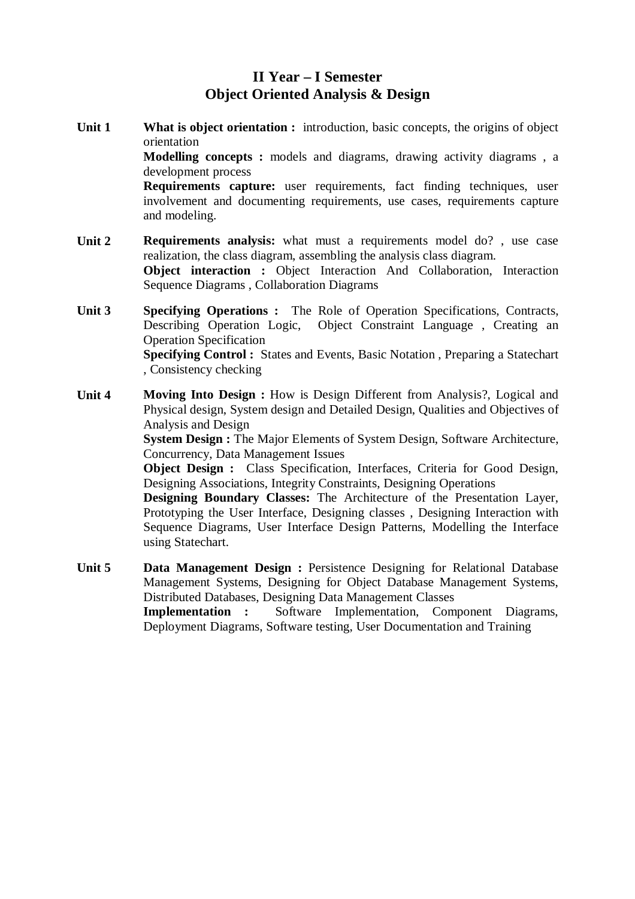# **II Year – I Semester Object Oriented Analysis & Design**

- **Unit 1 What is object orientation :** introduction, basic concepts, the origins of object orientation **Modelling concepts :** models and diagrams, drawing activity diagrams , a development process **Requirements capture:** user requirements, fact finding techniques, user involvement and documenting requirements, use cases, requirements capture and modeling.
- **Unit 2 Requirements analysis:** what must a requirements model do? , use case realization, the class diagram, assembling the analysis class diagram. **Object interaction :** Object Interaction And Collaboration, Interaction Sequence Diagrams , Collaboration Diagrams
- **Unit 3 Specifying Operations :** The Role of Operation Specifications, Contracts, Describing Operation Logic, Object Constraint Language , Creating an Operation Specification **Specifying Control :** States and Events, Basic Notation , Preparing a Statechart , Consistency checking
- **Unit 4 Moving Into Design :** How is Design Different from Analysis?, Logical and Physical design, System design and Detailed Design, Qualities and Objectives of Analysis and Design

**System Design :** The Major Elements of System Design, Software Architecture, Concurrency, Data Management Issues

**Object Design :** Class Specification, Interfaces, Criteria for Good Design, Designing Associations, Integrity Constraints, Designing Operations

**Designing Boundary Classes:** The Architecture of the Presentation Layer, Prototyping the User Interface, Designing classes , Designing Interaction with Sequence Diagrams, User Interface Design Patterns, Modelling the Interface using Statechart.

**Unit 5 Data Management Design :** Persistence Designing for Relational Database Management Systems, Designing for Object Database Management Systems, Distributed Databases, Designing Data Management Classes **Implementation :** Software Implementation, Component Diagrams, Deployment Diagrams, Software testing, User Documentation and Training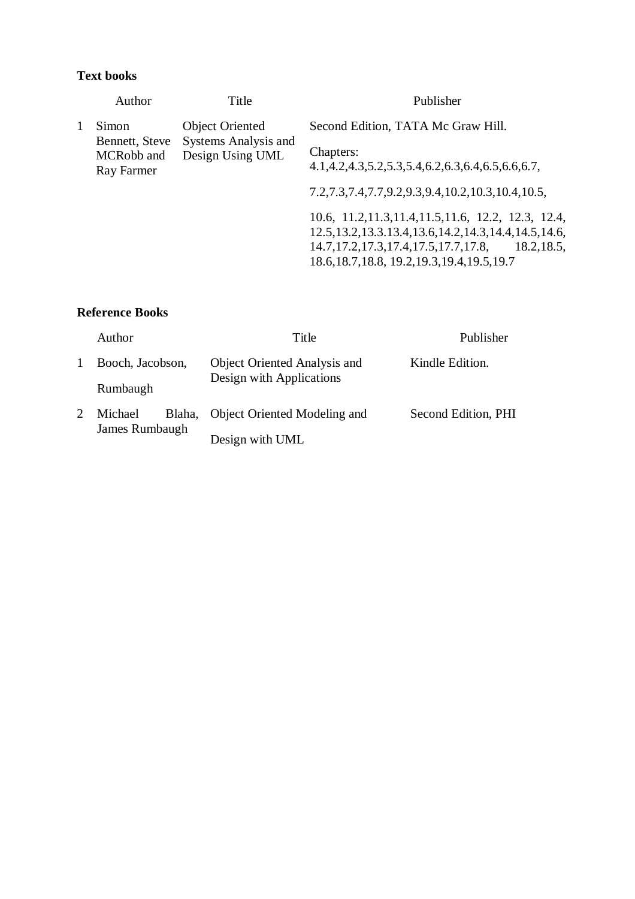### **Text books**

|   | Author                                     | Title                                    | Publisher                                                                                                                                                                                                                         |
|---|--------------------------------------------|------------------------------------------|-----------------------------------------------------------------------------------------------------------------------------------------------------------------------------------------------------------------------------------|
| 1 | <b>Object Oriented</b><br>Simon            | Second Edition, TATA Mc Graw Hill.       |                                                                                                                                                                                                                                   |
|   | Bennett, Steve<br>MCRobb and<br>Ray Farmer | Systems Analysis and<br>Design Using UML | Chapters:<br>$4.1, 4.2, 4.3, 5.2, 5.3, 5.4, 6.2, 6.3, 6.4, 6.5, 6.6, 6.7,$                                                                                                                                                        |
|   |                                            |                                          | 7.2,7.3,7.4,7.7,9.2,9.3,9.4,10.2,10.3,10.4,10.5,                                                                                                                                                                                  |
|   |                                            |                                          | 10.6, 11.2, 11.3, 11.4, 11.5, 11.6, 12.2, 12.3, 12.4,<br>12.5, 13.2, 13.3.13.4, 13.6, 14.2, 14.3, 14.4, 14.5, 14.6,<br>14.7, 17.2, 17.3, 17.4, 17.5, 17.7, 17.8,<br>18.2, 18.5,<br>18.6, 18.7, 18.8, 19.2, 19.3, 19.4, 19.5, 19.7 |

| Author            | Title                               | Publisher           |
|-------------------|-------------------------------------|---------------------|
| Booch, Jacobson,  | <b>Object Oriented Analysis and</b> | Kindle Edition.     |
| Rumbaugh          | Design with Applications            |                     |
| Blaha,<br>Michael | Object Oriented Modeling and        | Second Edition, PHI |
| James Rumbaugh    | Design with UML                     |                     |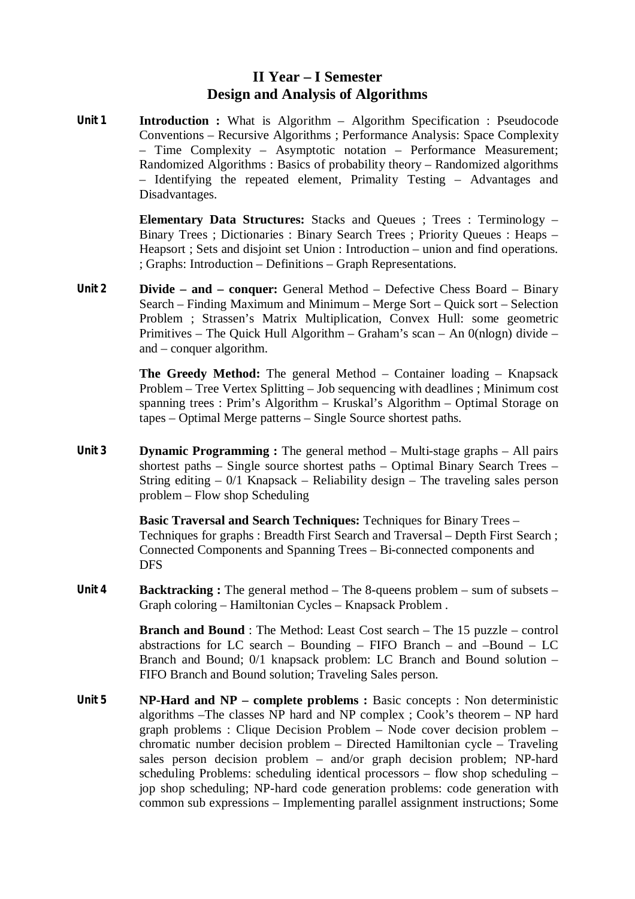## **II Year – I Semester Design and Analysis of Algorithms**

**Unit 1 Introduction :** What is Algorithm – Algorithm Specification : Pseudocode Conventions – Recursive Algorithms ; Performance Analysis: Space Complexity – Time Complexity – Asymptotic notation – Performance Measurement; Randomized Algorithms : Basics of probability theory – Randomized algorithms – Identifying the repeated element, Primality Testing – Advantages and Disadvantages.

> **Elementary Data Structures:** Stacks and Queues ; Trees : Terminology – Binary Trees ; Dictionaries : Binary Search Trees ; Priority Queues : Heaps – Heapsort ; Sets and disjoint set Union : Introduction – union and find operations. ; Graphs: Introduction – Definitions – Graph Representations.

**Unit 2 Divide – and – conquer:** General Method – Defective Chess Board – Binary Search – Finding Maximum and Minimum – Merge Sort – Quick sort – Selection Problem ; Strassen's Matrix Multiplication, Convex Hull: some geometric Primitives – The Quick Hull Algorithm – Graham's scan – An 0(nlogn) divide – and – conquer algorithm.

> **The Greedy Method:** The general Method – Container loading – Knapsack Problem – Tree Vertex Splitting – Job sequencing with deadlines ; Minimum cost spanning trees : Prim's Algorithm – Kruskal's Algorithm – Optimal Storage on tapes – Optimal Merge patterns – Single Source shortest paths.

**Unit 3 Dynamic Programming :** The general method – Multi-stage graphs – All pairs shortest paths – Single source shortest paths – Optimal Binary Search Trees – String editing  $-0/1$  Knapsack – Reliability design – The traveling sales person problem – Flow shop Scheduling

> **Basic Traversal and Search Techniques:** Techniques for Binary Trees – Techniques for graphs : Breadth First Search and Traversal – Depth First Search ; Connected Components and Spanning Trees – Bi-connected components and DFS

**Unit 4 Backtracking :** The general method – The 8-queens problem – sum of subsets – Graph coloring – Hamiltonian Cycles – Knapsack Problem .

> **Branch and Bound** : The Method: Least Cost search – The 15 puzzle – control abstractions for LC search – Bounding – FIFO Branch – and –Bound – LC Branch and Bound; 0/1 knapsack problem: LC Branch and Bound solution – FIFO Branch and Bound solution; Traveling Sales person.

**Unit 5 NP-Hard and NP – complete problems :** Basic concepts : Non deterministic algorithms –The classes NP hard and NP complex ; Cook's theorem – NP hard graph problems : Clique Decision Problem – Node cover decision problem – chromatic number decision problem – Directed Hamiltonian cycle – Traveling sales person decision problem – and/or graph decision problem; NP-hard scheduling Problems: scheduling identical processors – flow shop scheduling – jop shop scheduling; NP-hard code generation problems: code generation with common sub expressions – Implementing parallel assignment instructions; Some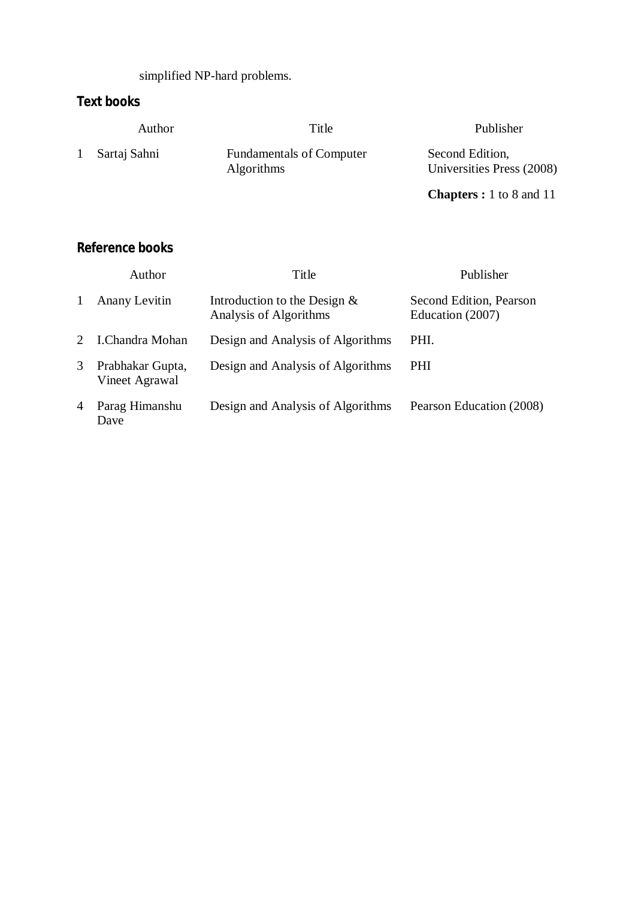simplified NP-hard problems.

# **Text books**

|              | Author       | Title                                                | Publisher                                    |
|--------------|--------------|------------------------------------------------------|----------------------------------------------|
| $\mathbf{1}$ | Sartaj Sahni | <b>Fundamentals of Computer</b><br><b>Algorithms</b> | Second Edition,<br>Universities Press (2008) |

**Chapters :** 1 to 8 and 11

|              | Author                             | Title                                                    | Publisher                                   |
|--------------|------------------------------------|----------------------------------------------------------|---------------------------------------------|
| $\mathbf{1}$ | Anany Levitin                      | Introduction to the Design $&$<br>Analysis of Algorithms | Second Edition, Pearson<br>Education (2007) |
| $2^{\circ}$  | I.Chandra Mohan                    | Design and Analysis of Algorithms                        | PHI.                                        |
| 3            | Prabhakar Gupta,<br>Vineet Agrawal | Design and Analysis of Algorithms                        | PHI.                                        |
| 4            | Parag Himanshu<br>Dave             | Design and Analysis of Algorithms                        | Pearson Education (2008)                    |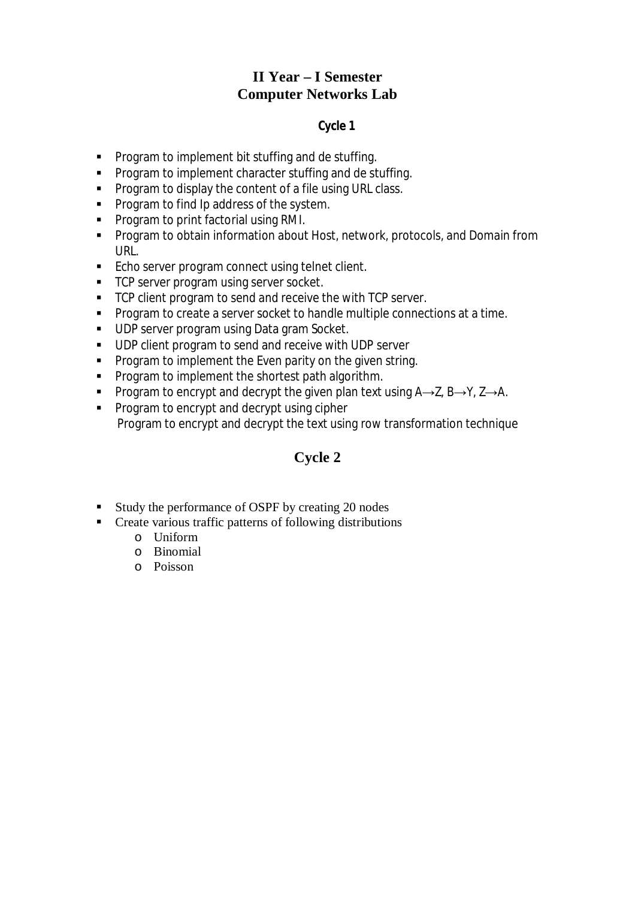# **II Year – I Semester Computer Networks Lab**

## **Cycle 1**

- **Program to implement bit stuffing and de stuffing.**
- **Program to implement character stuffing and de stuffing.**
- **Program to display the content of a file using URL class.**
- **Program to find Ip address of the system.**
- **Program to print factorial using RMI.**
- **Program to obtain information about Host, network, protocols, and Domain from** URL.
- **Echo server program connect using telnet client.**
- **TCP server program using server socket.**
- TCP client program to send and receive the with TCP server.
- **Program to create a server socket to handle multiple connections at a time.**
- UDP server program using Data gram Socket.
- **UDP client program to send and receive with UDP server**
- **Program to implement the Even parity on the given string.**
- **Program to implement the shortest path algorithm.**
- Program to encrypt and decrypt the given plan text using  $A\rightarrow Z$ ,  $B\rightarrow Y$ ,  $Z\rightarrow A$ .
- **Program to encrypt and decrypt using cipher** Program to encrypt and decrypt the text using row transformation technique

# **Cycle 2**

- Study the performance of OSPF by creating 20 nodes
- **Create various traffic patterns of following distributions** 
	- o Uniform
	- o Binomial
	- o Poisson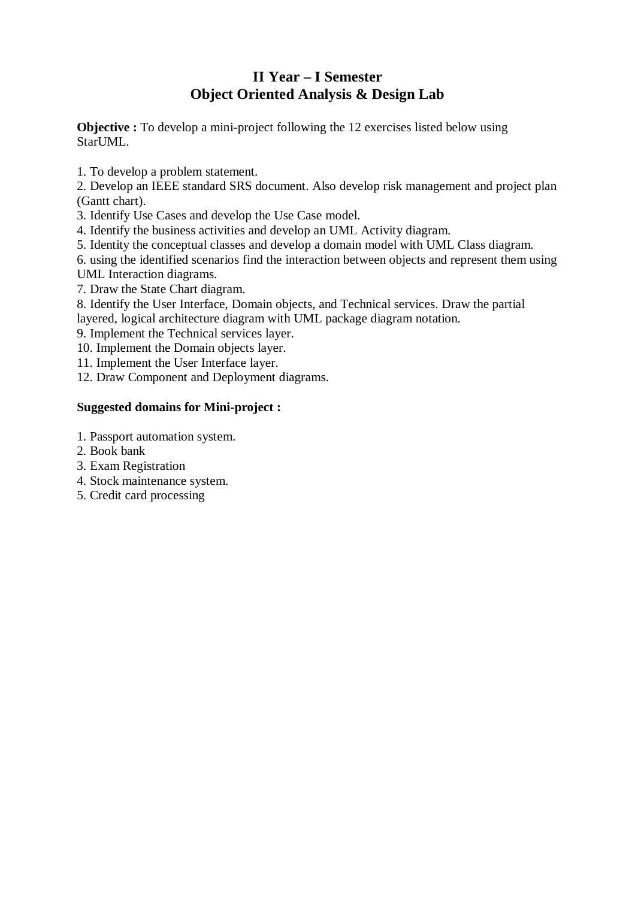# **II Year – I Semester Object Oriented Analysis & Design Lab**

**Objective :** To develop a mini-project following the 12 exercises listed below using StarUML.

1. To develop a problem statement.

2. Develop an IEEE standard SRS document. Also develop risk management and project plan (Gantt chart).

- 3. Identify Use Cases and develop the Use Case model.
- 4. Identify the business activities and develop an UML Activity diagram.
- 5. Identity the conceptual classes and develop a domain model with UML Class diagram.

6. using the identified scenarios find the interaction between objects and represent them using UML Interaction diagrams.

7. Draw the State Chart diagram.

8. Identify the User Interface, Domain objects, and Technical services. Draw the partial layered, logical architecture diagram with UML package diagram notation.

- 9. Implement the Technical services layer.
- 10. Implement the Domain objects layer.
- 11. Implement the User Interface layer.
- 12. Draw Component and Deployment diagrams.

## **Suggested domains for Mini-project :**

- 1. Passport automation system.
- 2. Book bank
- 3. Exam Registration
- 4. Stock maintenance system.
- 5. Credit card processing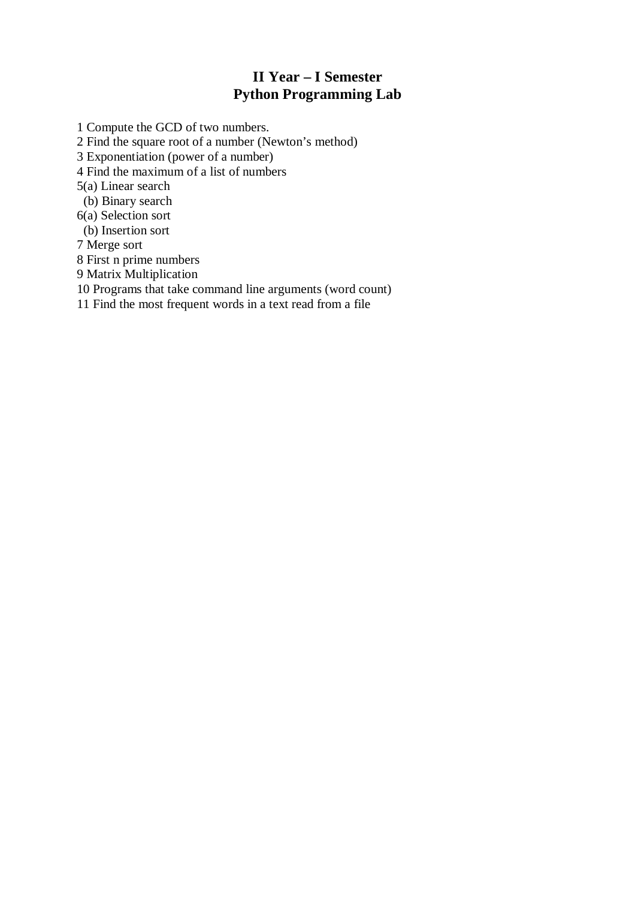# **II Year – I Semester Python Programming Lab**

1 Compute the GCD of two numbers.

2 Find the square root of a number (Newton's method)

3 Exponentiation (power of a number)

4 Find the maximum of a list of numbers

5(a) Linear search

(b) Binary search

6(a) Selection sort

(b) Insertion sort

7 Merge sort

8 First n prime numbers

9 Matrix Multiplication

10 Programs that take command line arguments (word count)

11 Find the most frequent words in a text read from a file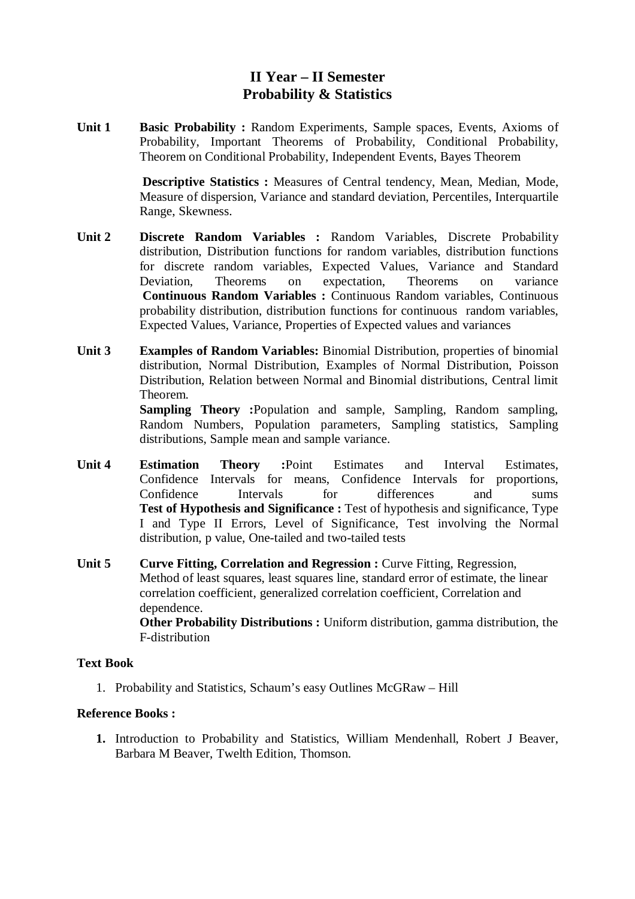# **II Year – II Semester Probability & Statistics**

**Unit 1 Basic Probability :** Random Experiments, Sample spaces, Events, Axioms of Probability, Important Theorems of Probability, Conditional Probability, Theorem on Conditional Probability, Independent Events, Bayes Theorem

> **Descriptive Statistics :** Measures of Central tendency, Mean, Median, Mode, Measure of dispersion, Variance and standard deviation, Percentiles, Interquartile Range, Skewness.

- **Unit 2 Discrete Random Variables :** Random Variables, Discrete Probability distribution, Distribution functions for random variables, distribution functions for discrete random variables, Expected Values, Variance and Standard Deviation, Theorems on expectation, Theorems on variance **Continuous Random Variables :** Continuous Random variables, Continuous probability distribution, distribution functions for continuous random variables, Expected Values, Variance, Properties of Expected values and variances
- **Unit 3 Examples of Random Variables:** Binomial Distribution, properties of binomial distribution, Normal Distribution, Examples of Normal Distribution, Poisson Distribution, Relation between Normal and Binomial distributions, Central limit Theorem.

**Sampling Theory :**Population and sample, Sampling, Random sampling, Random Numbers, Population parameters, Sampling statistics, Sampling distributions, Sample mean and sample variance.

- **Unit 4 Estimation Theory :**Point Estimates and Interval Estimates, Confidence Intervals for means, Confidence Intervals for proportions, Confidence Intervals for differences and sums **Test of Hypothesis and Significance :** Test of hypothesis and significance, Type I and Type II Errors, Level of Significance, Test involving the Normal distribution, p value, One-tailed and two-tailed tests
- **Unit 5 Curve Fitting, Correlation and Regression :** Curve Fitting, Regression, Method of least squares, least squares line, standard error of estimate, the linear correlation coefficient, generalized correlation coefficient, Correlation and dependence. **Other Probability Distributions :** Uniform distribution, gamma distribution, the

F-distribution

## **Text Book**

1. Probability and Statistics, Schaum's easy Outlines McGRaw – Hill

## **Reference Books :**

**1.** Introduction to Probability and Statistics, William Mendenhall, Robert J Beaver, Barbara M Beaver, Twelth Edition, Thomson.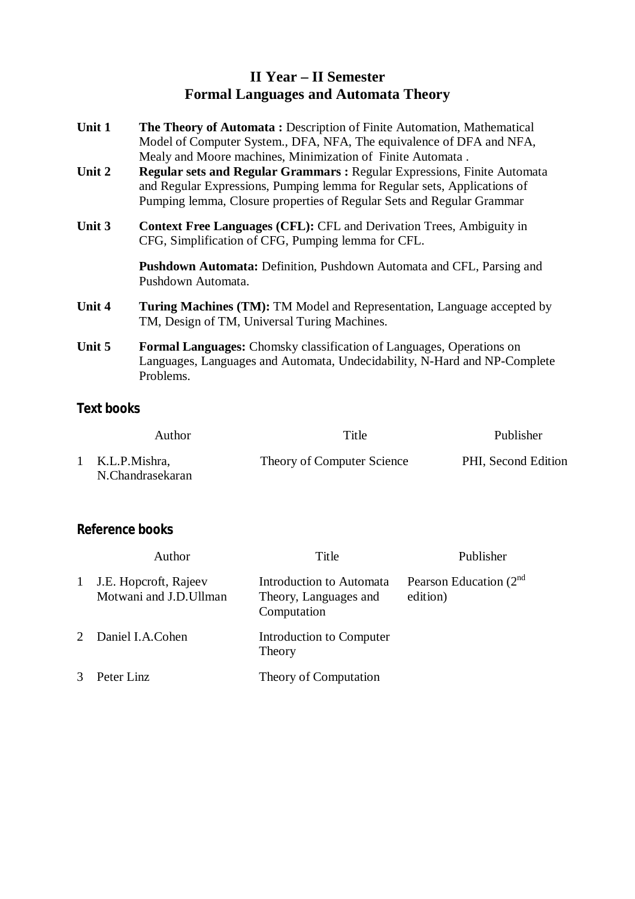# **II Year – II Semester Formal Languages and Automata Theory**

| Unit 1 | The Theory of Automata: Description of Finite Automation, Mathematical<br>Model of Computer System., DFA, NFA, The equivalence of DFA and NFA,<br>Mealy and Moore machines, Minimization of Finite Automata.                 |  |
|--------|------------------------------------------------------------------------------------------------------------------------------------------------------------------------------------------------------------------------------|--|
| Unit 2 | Regular sets and Regular Grammars: Regular Expressions, Finite Automata<br>and Regular Expressions, Pumping lemma for Regular sets, Applications of<br>Pumping lemma, Closure properties of Regular Sets and Regular Grammar |  |
| Unit 3 | <b>Context Free Languages (CFL): CFL and Derivation Trees, Ambiguity in</b><br>CFG, Simplification of CFG, Pumping lemma for CFL.                                                                                            |  |
|        | <b>Pushdown Automata:</b> Definition, Pushdown Automata and CFL, Parsing and<br>Pushdown Automata.                                                                                                                           |  |
| Unit 4 | <b>Turing Machines (TM):</b> TM Model and Representation, Language accepted by<br>TM, Design of TM, Universal Turing Machines.                                                                                               |  |
| Unit 5 | <b>Formal Languages:</b> Chomsky classification of Languages, Operations on<br>Languages, Languages and Automata, Undecidability, N-Hard and NP-Complete<br>Problems.                                                        |  |

# **Text books**

| Author                              | Title                      | Publisher           |
|-------------------------------------|----------------------------|---------------------|
| 1 K.L.P.Mishra,<br>N.Chandrasekaran | Theory of Computer Science | PHI, Second Edition |

|               | Author                                          | Title                                                            | Publisher                             |
|---------------|-------------------------------------------------|------------------------------------------------------------------|---------------------------------------|
| $\mathbf{1}$  | J.E. Hopcroft, Rajeev<br>Motwani and J.D.Ullman | Introduction to Automata<br>Theory, Languages and<br>Computation | Pearson Education $(2nd)$<br>edition) |
|               | 2 Daniel I.A.Cohen                              | Introduction to Computer<br>Theory                               |                                       |
| $\mathcal{R}$ | Peter Linz                                      | Theory of Computation                                            |                                       |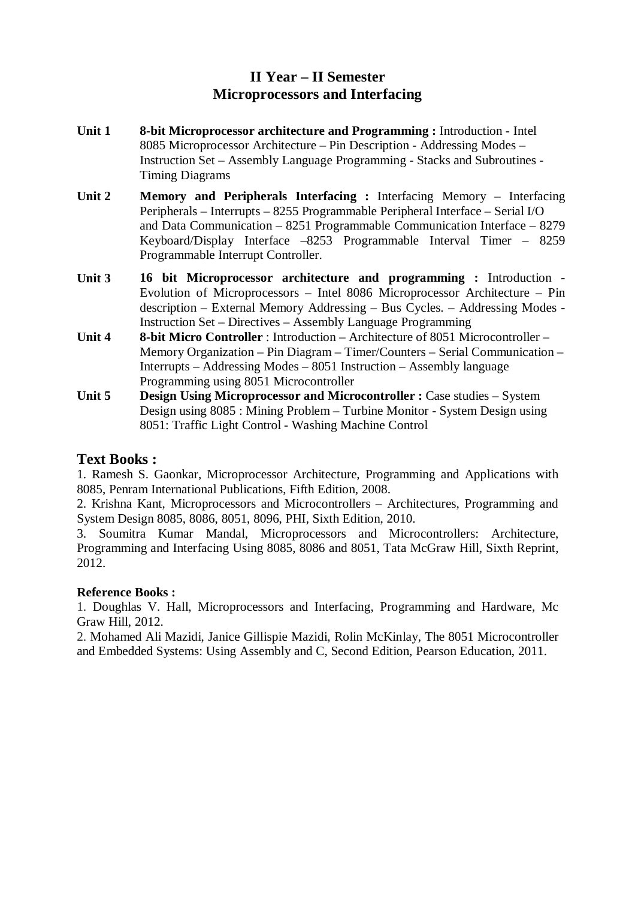# **II Year – II Semester Microprocessors and Interfacing**

- **Unit 1 8-bit Microprocessor architecture and Programming :** Introduction Intel 8085 Microprocessor Architecture – Pin Description - Addressing Modes – Instruction Set – Assembly Language Programming - Stacks and Subroutines - Timing Diagrams
- **Unit 2 Memory and Peripherals Interfacing :** Interfacing Memory Interfacing Peripherals – Interrupts – 8255 Programmable Peripheral Interface – Serial I/O and Data Communication – 8251 Programmable Communication Interface – 8279 Keyboard/Display Interface –8253 Programmable Interval Timer – 8259 Programmable Interrupt Controller.
- **Unit 3 16 bit Microprocessor architecture and programming :** Introduction Evolution of Microprocessors – Intel 8086 Microprocessor Architecture – Pin description – External Memory Addressing – Bus Cycles. – Addressing Modes - Instruction Set – Directives – Assembly Language Programming
- **Unit 4 8-bit Micro Controller** : Introduction Architecture of 8051 Microcontroller Memory Organization – Pin Diagram – Timer/Counters – Serial Communication – Interrupts – Addressing Modes – 8051 Instruction – Assembly language Programming using 8051 Microcontroller
- **Unit 5 Design Using Microprocessor and Microcontroller :** Case studies System Design using 8085 : Mining Problem – Turbine Monitor - System Design using 8051: Traffic Light Control - Washing Machine Control

## **Text Books :**

1. Ramesh S. Gaonkar, Microprocessor Architecture, Programming and Applications with 8085, Penram International Publications, Fifth Edition, 2008.

2. Krishna Kant, Microprocessors and Microcontrollers – Architectures, Programming and System Design 8085, 8086, 8051, 8096, PHI, Sixth Edition, 2010.

3. Soumitra Kumar Mandal, Microprocessors and Microcontrollers: Architecture, Programming and Interfacing Using 8085, 8086 and 8051, Tata McGraw Hill, Sixth Reprint, 2012.

## **Reference Books :**

1. Doughlas V. Hall, Microprocessors and Interfacing, Programming and Hardware, Mc Graw Hill, 2012.

2. Mohamed Ali Mazidi, Janice Gillispie Mazidi, Rolin McKinlay, The 8051 Microcontroller and Embedded Systems: Using Assembly and C, Second Edition, Pearson Education, 2011.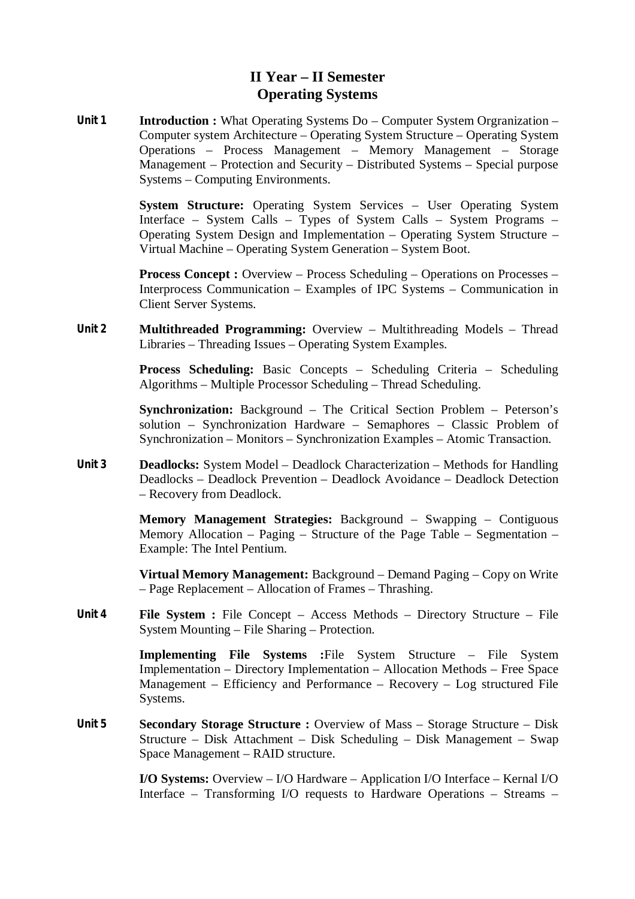# **II Year – II Semester Operating Systems**

**Unit 1 Introduction :** What Operating Systems Do – Computer System Orgranization – Computer system Architecture – Operating System Structure – Operating System Operations – Process Management – Memory Management – Storage Management – Protection and Security – Distributed Systems – Special purpose Systems – Computing Environments.

> **System Structure:** Operating System Services – User Operating System Interface – System Calls – Types of System Calls – System Programs – Operating System Design and Implementation – Operating System Structure – Virtual Machine – Operating System Generation – System Boot.

> **Process Concept :** Overview – Process Scheduling – Operations on Processes – Interprocess Communication – Examples of IPC Systems – Communication in Client Server Systems.

**Unit 2 Multithreaded Programming:** Overview – Multithreading Models – Thread Libraries – Threading Issues – Operating System Examples.

> **Process Scheduling:** Basic Concepts – Scheduling Criteria – Scheduling Algorithms – Multiple Processor Scheduling – Thread Scheduling.

> **Synchronization:** Background – The Critical Section Problem – Peterson's solution – Synchronization Hardware – Semaphores – Classic Problem of Synchronization – Monitors – Synchronization Examples – Atomic Transaction.

**Unit 3 Deadlocks:** System Model – Deadlock Characterization – Methods for Handling Deadlocks – Deadlock Prevention – Deadlock Avoidance – Deadlock Detection – Recovery from Deadlock.

> **Memory Management Strategies:** Background – Swapping – Contiguous Memory Allocation – Paging – Structure of the Page Table – Segmentation – Example: The Intel Pentium.

> **Virtual Memory Management:** Background – Demand Paging – Copy on Write – Page Replacement – Allocation of Frames – Thrashing.

**Unit 4 File System :** File Concept – Access Methods – Directory Structure – File System Mounting – File Sharing – Protection.

> **Implementing File Systems :**File System Structure – File System Implementation – Directory Implementation – Allocation Methods – Free Space Management – Efficiency and Performance – Recovery – Log structured File Systems.

**Unit 5 Secondary Storage Structure :** Overview of Mass – Storage Structure – Disk Structure – Disk Attachment – Disk Scheduling – Disk Management – Swap Space Management – RAID structure.

> **I/O Systems:** Overview – I/O Hardware – Application I/O Interface – Kernal I/O Interface – Transforming I/O requests to Hardware Operations – Streams –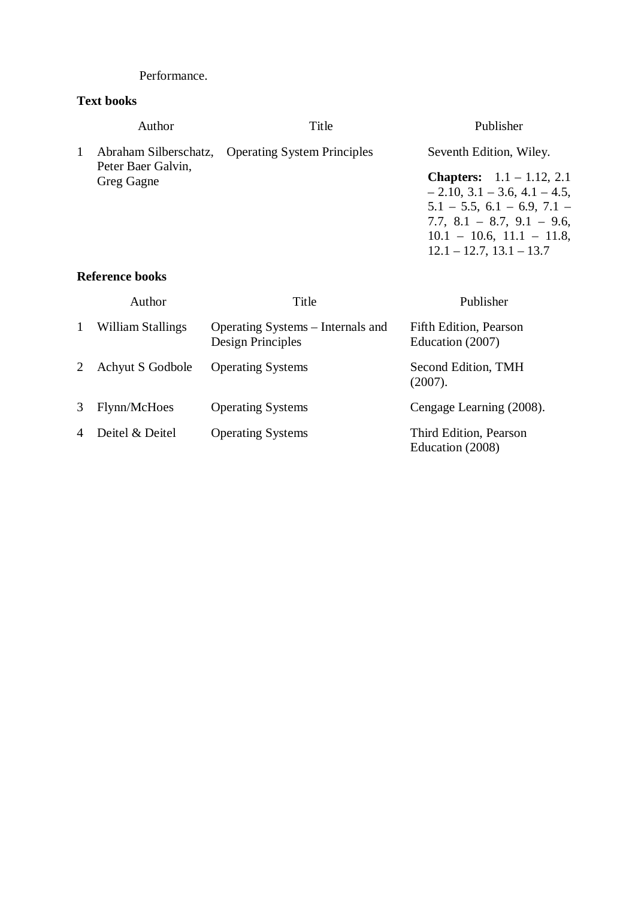#### Performance.

## **Text books**

|              | Author                                                    | Title                                                  | Publisher                                                                                                                                                                                                                |
|--------------|-----------------------------------------------------------|--------------------------------------------------------|--------------------------------------------------------------------------------------------------------------------------------------------------------------------------------------------------------------------------|
| 1            | Abraham Silberschatz,<br>Peter Baer Galvin,<br>Greg Gagne | <b>Operating System Principles</b>                     | Seventh Edition, Wiley.                                                                                                                                                                                                  |
|              |                                                           |                                                        | <b>Chapters:</b> $1.1 - 1.12, 2.1$<br>$-2.10$ , 3.1 $-3.6$ , 4.1 $-4.5$ ,<br>$5.1 - 5.5$ , $6.1 - 6.9$ , $7.1 -$<br>7.7, $8.1 - 8.7$ , $9.1 - 9.6$ ,<br>$10.1 - 10.6$ , $11.1 - 11.8$ ,<br>$12.1 - 12.7$ , $13.1 - 13.7$ |
|              | <b>Reference books</b>                                    |                                                        |                                                                                                                                                                                                                          |
|              | Author                                                    | Title                                                  | Publisher                                                                                                                                                                                                                |
| $\mathbf{1}$ | William Stallings                                         | Operating Systems – Internals and<br>Design Principles | Fifth Edition, Pearson<br>Education (2007)                                                                                                                                                                               |

|   | Achyut S Godbole  | <b>Operating Systems</b> | Second Edition, TMH<br>(2007).             |
|---|-------------------|--------------------------|--------------------------------------------|
| 3 | Flynn/McHoes      | <b>Operating Systems</b> | Cengage Learning (2008).                   |
|   | 4 Deitel & Deitel | <b>Operating Systems</b> | Third Edition, Pearson<br>Education (2008) |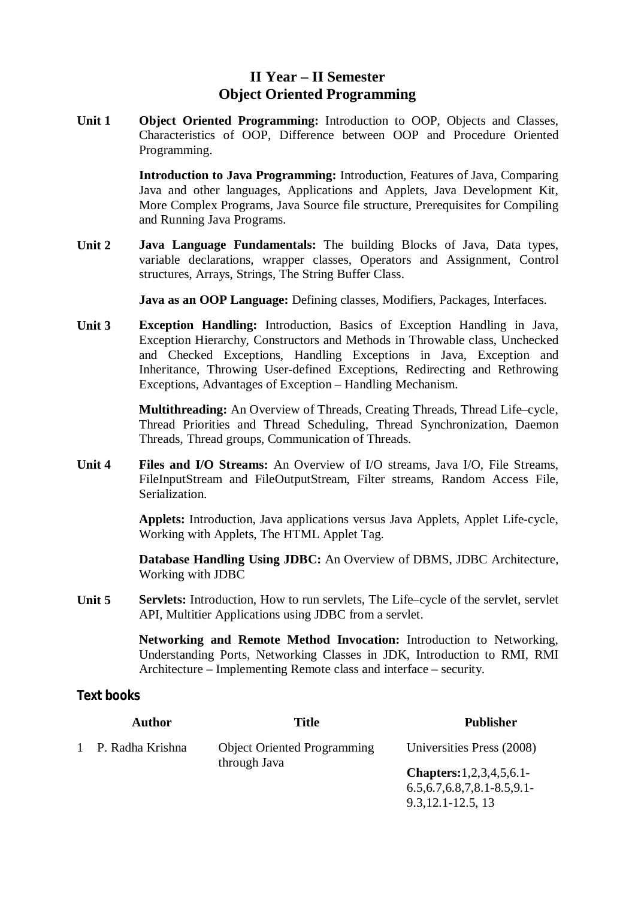# **II Year – II Semester Object Oriented Programming**

**Unit 1 Object Oriented Programming:** Introduction to OOP, Objects and Classes, Characteristics of OOP, Difference between OOP and Procedure Oriented Programming.

> **Introduction to Java Programming:** Introduction, Features of Java, Comparing Java and other languages, Applications and Applets, Java Development Kit, More Complex Programs, Java Source file structure, Prerequisites for Compiling and Running Java Programs.

**Unit 2 Java Language Fundamentals:** The building Blocks of Java, Data types, variable declarations, wrapper classes, Operators and Assignment, Control structures, Arrays, Strings, The String Buffer Class.

**Java as an OOP Language:** Defining classes, Modifiers, Packages, Interfaces.

**Unit 3 Exception Handling:** Introduction, Basics of Exception Handling in Java, Exception Hierarchy, Constructors and Methods in Throwable class, Unchecked and Checked Exceptions, Handling Exceptions in Java, Exception and Inheritance, Throwing User-defined Exceptions, Redirecting and Rethrowing Exceptions, Advantages of Exception – Handling Mechanism.

> **Multithreading:** An Overview of Threads, Creating Threads, Thread Life–cycle, Thread Priorities and Thread Scheduling, Thread Synchronization, Daemon Threads, Thread groups, Communication of Threads.

**Unit 4 Files and I/O Streams:** An Overview of I/O streams, Java I/O, File Streams, FileInputStream and FileOutputStream, Filter streams, Random Access File, Serialization.

> **Applets:** Introduction, Java applications versus Java Applets, Applet Life-cycle, Working with Applets, The HTML Applet Tag.

> **Database Handling Using JDBC:** An Overview of DBMS, JDBC Architecture, Working with JDBC

**Unit 5 Servlets:** Introduction, How to run servlets, The Life–cycle of the servlet, servlet API, Multitier Applications using JDBC from a servlet.

> **Networking and Remote Method Invocation:** Introduction to Networking, Understanding Ports, Networking Classes in JDK, Introduction to RMI, RMI Architecture – Implementing Remote class and interface – security.

## **Text books**

|  | <b>Author</b>      | <b>Title</b>                       | <b>Publisher</b>                      |
|--|--------------------|------------------------------------|---------------------------------------|
|  | 1 P. Radha Krishna | <b>Object Oriented Programming</b> | Universities Press (2008)             |
|  |                    | through Java                       | <b>Chapters:</b> $1, 2, 3, 4, 5, 6.1$ |
|  |                    |                                    | $6.5, 6.7, 6.8, 7, 8.1 - 8.5, 9.1$    |
|  |                    |                                    | $9.3.12.1 - 12.5.13$                  |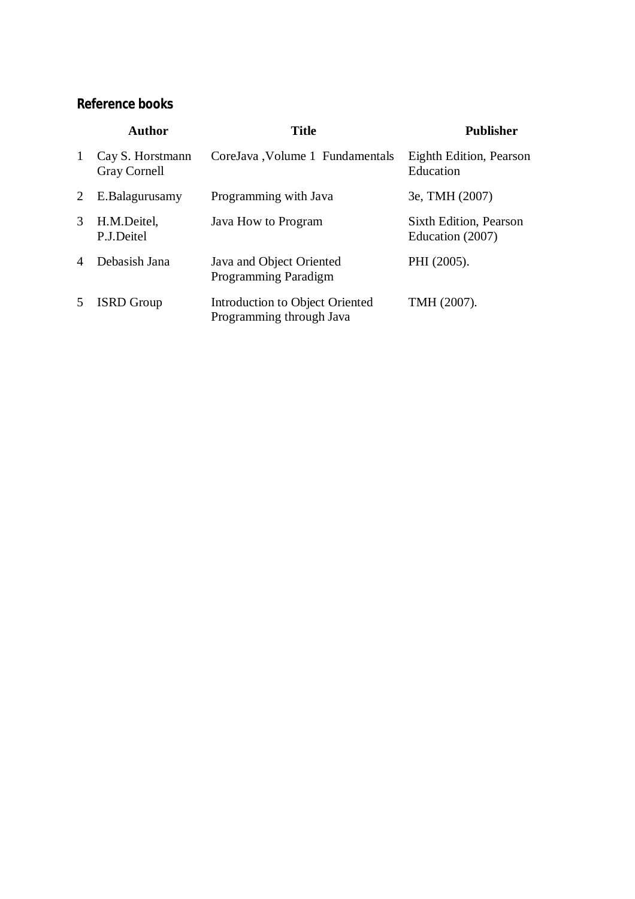|                | <b>Author</b>                           | <b>Title</b>                                                | <b>Publisher</b>                           |
|----------------|-----------------------------------------|-------------------------------------------------------------|--------------------------------------------|
| $\mathbf{1}$   | Cay S. Horstmann<br><b>Gray Cornell</b> | CoreJava, Volume 1 Fundamentals                             | Eighth Edition, Pearson<br>Education       |
| 2              | E.Balagurusamy                          | Programming with Java                                       | 3e, TMH (2007)                             |
| 3              | H.M.Deitel,<br>P.J.Deitel               | Java How to Program                                         | Sixth Edition, Pearson<br>Education (2007) |
| $\overline{4}$ | Debasish Jana                           | Java and Object Oriented<br><b>Programming Paradigm</b>     | PHI (2005).                                |
| 5              | <b>ISRD</b> Group                       | Introduction to Object Oriented<br>Programming through Java | TMH (2007).                                |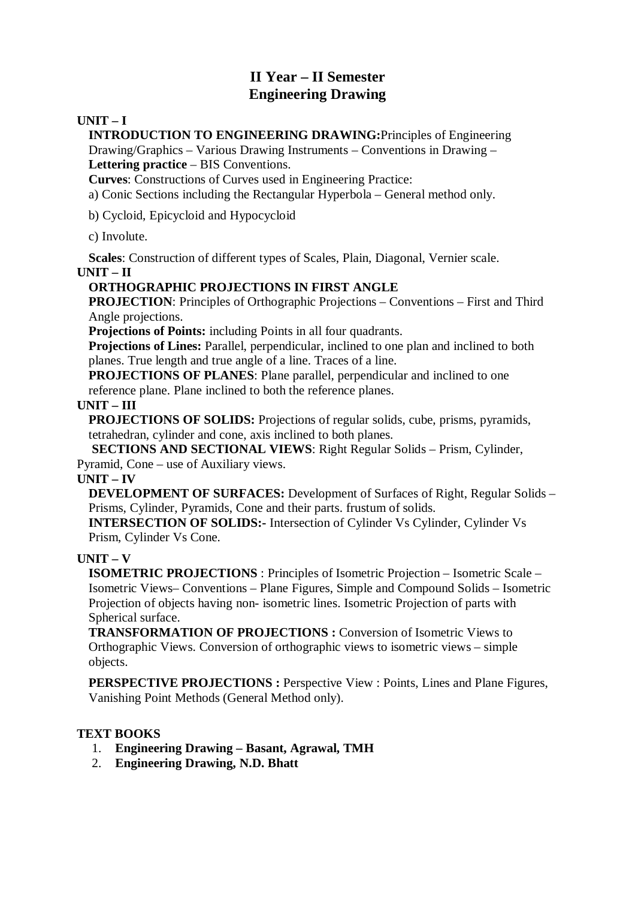# **II Year – II Semester Engineering Drawing**

### **UNIT – I**

**INTRODUCTION TO ENGINEERING DRAWING:**Principles of Engineering

Drawing/Graphics – Various Drawing Instruments – Conventions in Drawing – **Lettering practice** – BIS Conventions.

**Curves**: Constructions of Curves used in Engineering Practice:

a) Conic Sections including the Rectangular Hyperbola – General method only.

b) Cycloid, Epicycloid and Hypocycloid

c) Involute.

**Scales**: Construction of different types of Scales, Plain, Diagonal, Vernier scale.

**UNIT – II**

## **ORTHOGRAPHIC PROJECTIONS IN FIRST ANGLE**

**PROJECTION**: Principles of Orthographic Projections – Conventions – First and Third Angle projections.

**Projections of Points:** including Points in all four quadrants.

**Projections of Lines:** Parallel, perpendicular, inclined to one plan and inclined to both planes. True length and true angle of a line. Traces of a line.

**PROJECTIONS OF PLANES**: Plane parallel, perpendicular and inclined to one reference plane. Plane inclined to both the reference planes.

**UNIT – III**

**PROJECTIONS OF SOLIDS:** Projections of regular solids, cube, prisms, pyramids, tetrahedran, cylinder and cone, axis inclined to both planes.

**SECTIONS AND SECTIONAL VIEWS**: Right Regular Solids – Prism, Cylinder, Pyramid, Cone – use of Auxiliary views.

**UNIT – IV**

**DEVELOPMENT OF SURFACES:** Development of Surfaces of Right, Regular Solids – Prisms, Cylinder, Pyramids, Cone and their parts. frustum of solids.

**INTERSECTION OF SOLIDS:-** Intersection of Cylinder Vs Cylinder, Cylinder Vs Prism, Cylinder Vs Cone.

## **UNIT – V**

**ISOMETRIC PROJECTIONS** : Principles of Isometric Projection – Isometric Scale – Isometric Views– Conventions – Plane Figures, Simple and Compound Solids – Isometric Projection of objects having non- isometric lines. Isometric Projection of parts with Spherical surface.

**TRANSFORMATION OF PROJECTIONS :** Conversion of Isometric Views to Orthographic Views. Conversion of orthographic views to isometric views – simple objects.

**PERSPECTIVE PROJECTIONS :** Perspective View : Points, Lines and Plane Figures, Vanishing Point Methods (General Method only).

## **TEXT BOOKS**

- 1. **Engineering Drawing – Basant, Agrawal, TMH**
- 2. **Engineering Drawing, N.D. Bhatt**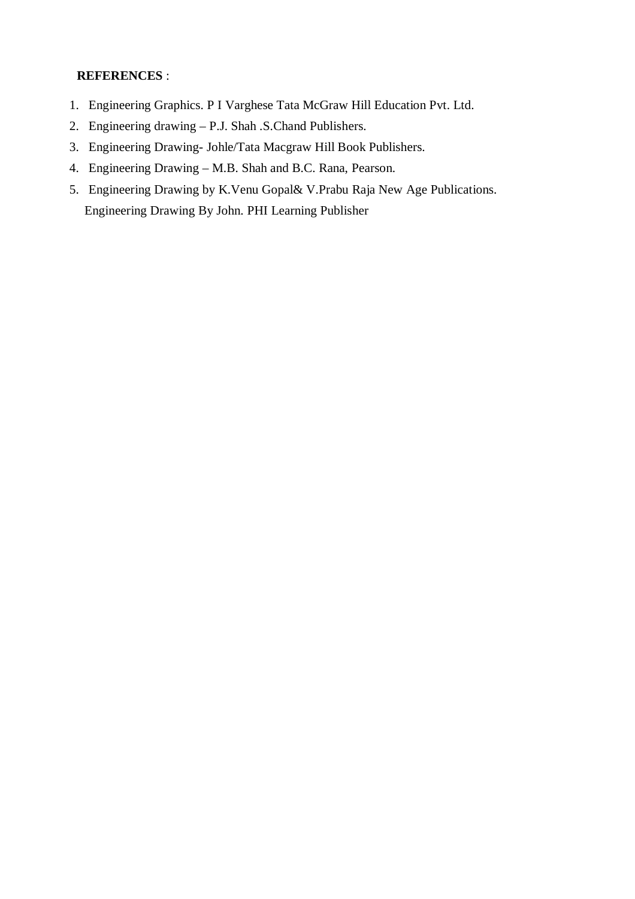### **REFERENCES** :

- 1. Engineering Graphics. P I Varghese Tata McGraw Hill Education Pvt. Ltd.
- 2. Engineering drawing P.J. Shah .S.Chand Publishers.
- 3. Engineering Drawing- Johle/Tata Macgraw Hill Book Publishers.
- 4. Engineering Drawing M.B. Shah and B.C. Rana, Pearson.
- 5. Engineering Drawing by K.Venu Gopal& V.Prabu Raja New Age Publications. Engineering Drawing By John. PHI Learning Publisher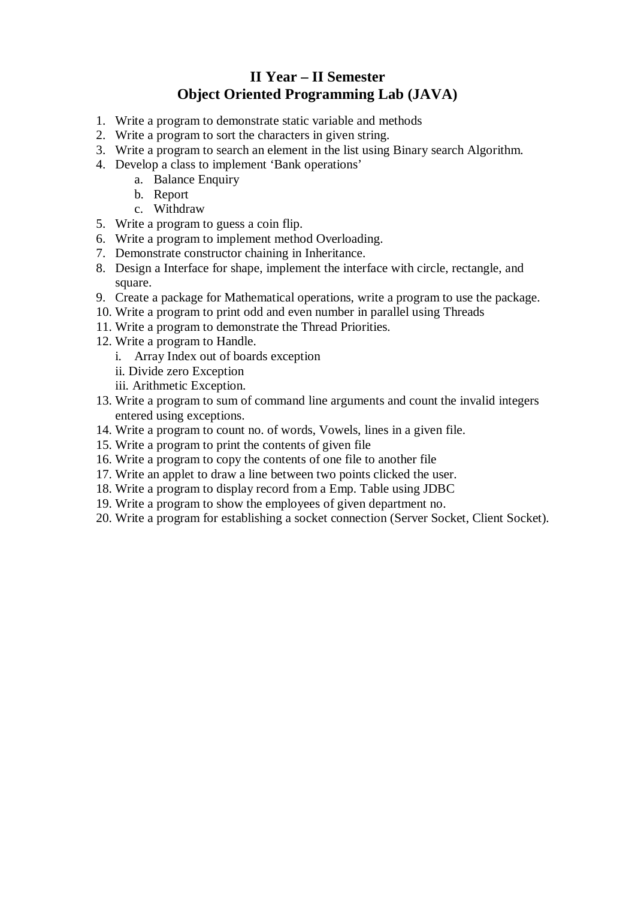# **II Year – II Semester Object Oriented Programming Lab (JAVA)**

- 1. Write a program to demonstrate static variable and methods
- 2. Write a program to sort the characters in given string.
- 3. Write a program to search an element in the list using Binary search Algorithm.
- 4. Develop a class to implement 'Bank operations'
	- a. Balance Enquiry
	- b. Report
	- c. Withdraw
- 5. Write a program to guess a coin flip.
- 6. Write a program to implement method Overloading.
- 7. Demonstrate constructor chaining in Inheritance.
- 8. Design a Interface for shape, implement the interface with circle, rectangle, and square.
- 9. Create a package for Mathematical operations, write a program to use the package.
- 10. Write a program to print odd and even number in parallel using Threads
- 11. Write a program to demonstrate the Thread Priorities.
- 12. Write a program to Handle.
	- i. Array Index out of boards exception
	- ii. Divide zero Exception
	- iii. Arithmetic Exception.
- 13. Write a program to sum of command line arguments and count the invalid integers entered using exceptions.
- 14. Write a program to count no. of words, Vowels, lines in a given file.
- 15. Write a program to print the contents of given file
- 16. Write a program to copy the contents of one file to another file
- 17. Write an applet to draw a line between two points clicked the user.
- 18. Write a program to display record from a Emp. Table using JDBC
- 19. Write a program to show the employees of given department no.
- 20. Write a program for establishing a socket connection (Server Socket, Client Socket).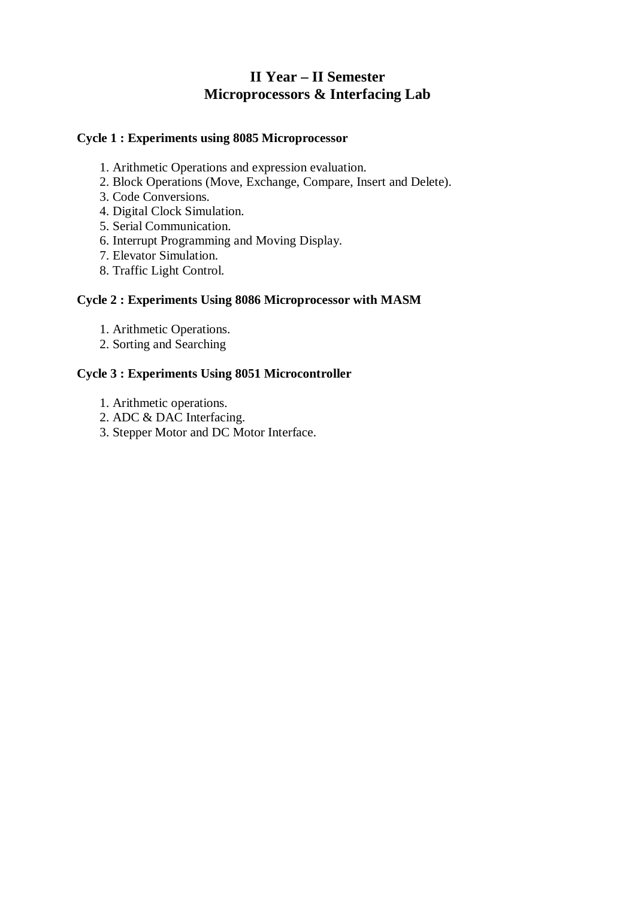# **II Year – II Semester Microprocessors & Interfacing Lab**

### **Cycle 1 : Experiments using 8085 Microprocessor**

- 1. Arithmetic Operations and expression evaluation.
- 2. Block Operations (Move, Exchange, Compare, Insert and Delete).
- 3. Code Conversions.
- 4. Digital Clock Simulation.
- 5. Serial Communication.
- 6. Interrupt Programming and Moving Display.
- 7. Elevator Simulation.
- 8. Traffic Light Control.

### **Cycle 2 : Experiments Using 8086 Microprocessor with MASM**

- 1. Arithmetic Operations.
- 2. Sorting and Searching

### **Cycle 3 : Experiments Using 8051 Microcontroller**

- 1. Arithmetic operations.
- 2. ADC & DAC Interfacing.
- 3. Stepper Motor and DC Motor Interface.